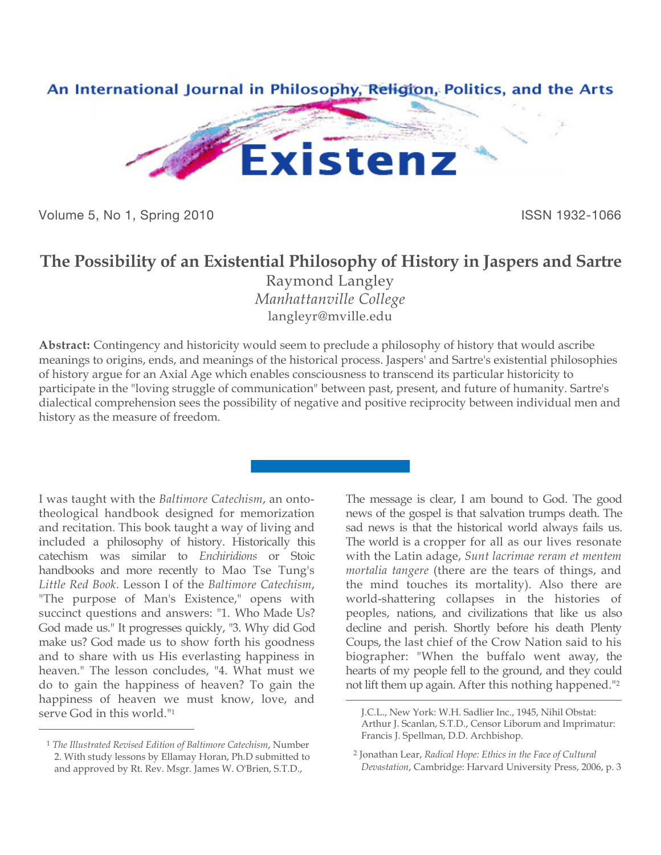

Volume 5, No 1, Spring 2010 **ISSN 1932-1066** 

## **The Possibility of an Existential Philosophy of History in Jaspers and Sartre**

Raymond Langley *Manhattanville College* [langleyr@mville.edu](mailto:langleyr@mville.edu)

**Abstract:** Contingency and historicity would seem to preclude a philosophy of history that would ascribe meanings to origins, ends, and meanings of the historical process. Jaspers' and Sartre's existential philosophies of history argue for an Axial Age which enables consciousness to transcend its particular historicity to participate in the "loving struggle of communication" between past, present, and future of humanity. Sartre's dialectical comprehension sees the possibility of negative and positive reciprocity between individual men and history as the measure of freedom.

 $\overline{a}$ 

I was taught with the *Baltimore Catechism*, an ontotheological handbook designed for memorization and recitation. This book taught a way of living and included a philosophy of history. Historically this catechism was similar to *Enchiridions* or Stoic handbooks and more recently to Mao Tse Tung's *Little Red Book*. Lesson I of the *Baltimore Catechism*, "The purpose of Man's Existence," opens with succinct questions and answers: "1. Who Made Us? God made us." It progresses quickly, "3. Why did God make us? God made us to show forth his goodness and to share with us His everlasting happiness in heaven." The lesson concludes, "4. What must we do to gain the happiness of heaven? To gain the happiness of heaven we must know, love, and serve God in this world."1

 $\overline{a}$ 

The message is clear, I am bound to God. The good news of the gospel is that salvation trumps death. The sad news is that the historical world always fails us. The world is a cropper for all as our lives resonate with the Latin adage, *Sunt lacrimae reram et mentem mortalia tangere* (there are the tears of things, and the mind touches its mortality). Also there are world-shattering collapses in the histories of peoples, nations, and civilizations that like us also decline and perish. Shortly before his death Plenty Coups, the last chief of the Crow Nation said to his biographer: "When the buffalo went away, the hearts of my people fell to the ground, and they could not lift them up again. After this nothing happened."2

<sup>1</sup> *The Illustrated Revised Edition of Baltimore Catechism*, Number 2. With study lessons by Ellamay Horan, Ph.D submitted to and approved by Rt. Rev. Msgr. James W. O'Brien, S.T.D.,

J.C.L., New York: W.H. Sadlier Inc., 1945, Nihil Obstat: Arthur J. Scanlan, S.T.D., Censor Liborum and Imprimatur: Francis J. Spellman, D.D. Archbishop.

<sup>2</sup> Jonathan Lear, *Radical Hope: Ethics in the Face of Cultural Devastation*, Cambridge: Harvard University Press, 2006, p. 3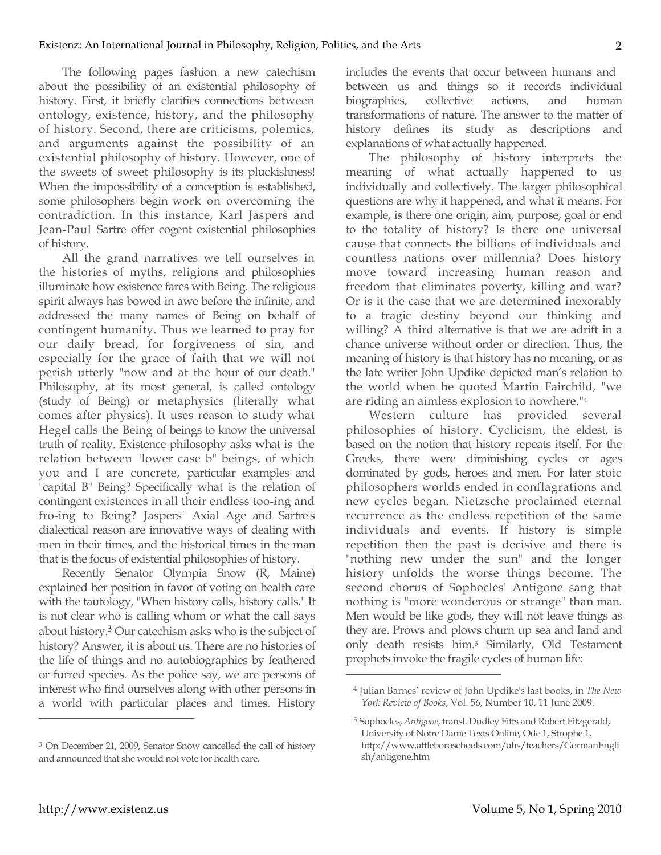The following pages fashion a new catechism about the possibility of an existential philosophy of history. First, it briefly clarifies connections between ontology, existence, history, and the philosophy of history. Second, there are criticisms, polemics, and arguments against the possibility of an existential philosophy of history. However, one of the sweets of sweet philosophy is its pluckishness! When the impossibility of a conception is established, some philosophers begin work on overcoming the contradiction. In this instance, Karl Jaspers and Jean-Paul Sartre offer cogent existential philosophies of history.

All the grand narratives we tell ourselves in the histories of myths, religions and philosophies illuminate how existence fares with Being. The religious spirit always has bowed in awe before the infinite, and addressed the many names of Being on behalf of contingent humanity. Thus we learned to pray for our daily bread, for forgiveness of sin, and especially for the grace of faith that we will not perish utterly "now and at the hour of our death." Philosophy, at its most general, is called ontology (study of Being) or metaphysics (literally what comes after physics). It uses reason to study what Hegel calls the Being of beings to know the universal truth of reality. Existence philosophy asks what is the relation between "lower case b" beings, of which you and I are concrete, particular examples and "capital B" Being? Specifically what is the relation of contingent existences in all their endless too-ing and fro-ing to Being? Jaspers' Axial Age and Sartre's dialectical reason are innovative ways of dealing with men in their times, and the historical times in the man that is the focus of existential philosophies of history.

Recently Senator Olympia Snow (R, Maine) explained her position in favor of voting on health care with the tautology, "When history calls, history calls." It is not clear who is calling whom or what the call says about history.3 Our catechism asks who is the subject of history? Answer, it is about us. There are no histories of the life of things and no autobiographies by feathered or furred species. As the police say, we are persons of interest who find ourselves along with other persons in a world with particular places and times. History

includes the events that occur between humans and between us and things so it records individual biographies, collective actions, and human transformations of nature. The answer to the matter of history defines its study as descriptions and explanations of what actually happened.

The philosophy of history interprets the meaning of what actually happened to us individually and collectively. The larger philosophical questions are why it happened, and what it means. For example, is there one origin, aim, purpose, goal or end to the totality of history? Is there one universal cause that connects the billions of individuals and countless nations over millennia? Does history move toward increasing human reason and freedom that eliminates poverty, killing and war? Or is it the case that we are determined inexorably to a tragic destiny beyond our thinking and willing? A third alternative is that we are adrift in a chance universe without order or direction. Thus, the meaning of history is that history has no meaning, or as the late writer John Updike depicted man's relation to the world when he quoted Martin Fairchild, "we are riding an aimless explosion to nowhere."4

Western culture has provided several philosophies of history. Cyclicism, the eldest, is based on the notion that history repeats itself. For the Greeks, there were diminishing cycles or ages dominated by gods, heroes and men. For later stoic philosophers worlds ended in conflagrations and new cycles began. Nietzsche proclaimed eternal recurrence as the endless repetition of the same individuals and events. If history is simple repetition then the past is decisive and there is "nothing new under the sun" and the longer history unfolds the worse things become. The second chorus of Sophocles' Antigone sang that nothing is "more wonderous or strange" than man. Men would be like gods, they will not leave things as they are. Prows and plows churn up sea and land and only death resists him.5 Similarly, Old Testament prophets invoke the fragile cycles of human life:

 $\overline{a}$ 

<sup>3</sup> On December 21, 2009, Senator Snow cancelled the call of history and announced that she would not vote for health care.

<sup>4</sup> Julian Barnes' review of John Updike's last books, in *The New York Review of Books*, Vol. 56, Number 10, 11 June 2009.

<sup>5</sup> Sophocles, *Antigone*, transl. Dudley Fitts and Robert Fitzgerald, University of Notre Dame Texts Online, Ode 1, Strophe 1, <http://www.attleboroschools.com/ahs/teachers/GormanEngli> sh/antigone.htm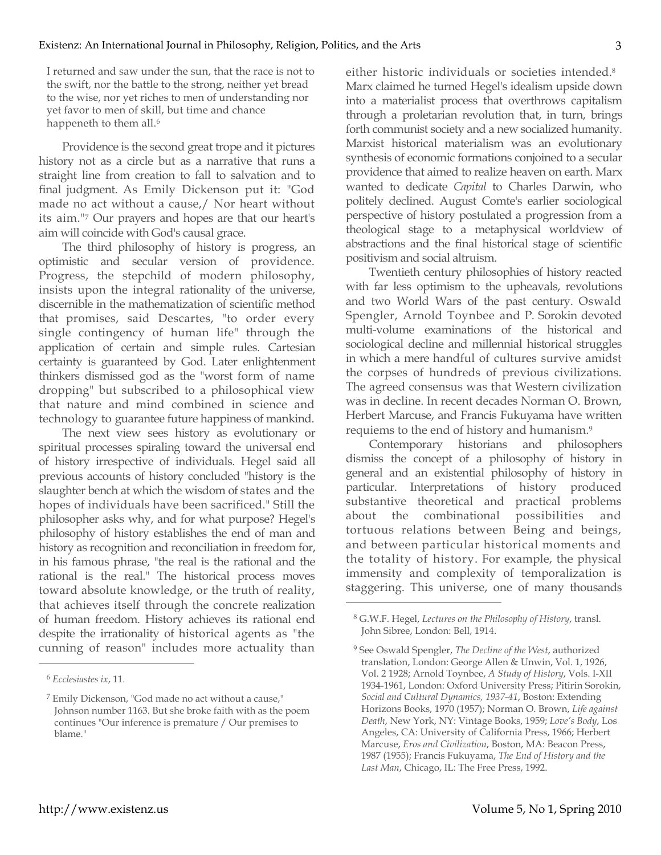I returned and saw under the sun, that the race is not to the swift, nor the battle to the strong, neither yet bread to the wise, nor yet riches to men of understanding nor yet favor to men of skill, but time and chance happeneth to them all.<sup>6</sup>

Providence is the second great trope and it pictures history not as a circle but as a narrative that runs a straight line from creation to fall to salvation and to final judgment. As Emily Dickenson put it: "God made no act without a cause,/ Nor heart without its aim."7 Our prayers and hopes are that our heart's aim will coincide with God's causal grace.

The third philosophy of history is progress, an optimistic and secular version of providence. Progress, the stepchild of modern philosophy, insists upon the integral rationality of the universe, discernible in the mathematization of scientific method that promises, said Descartes, "to order every single contingency of human life" through the application of certain and simple rules. Cartesian certainty is guaranteed by God. Later enlightenment thinkers dismissed god as the "worst form of name dropping" but subscribed to a philosophical view that nature and mind combined in science and technology to guarantee future happiness of mankind.

The next view sees history as evolutionary or spiritual processes spiraling toward the universal end of history irrespective of individuals. Hegel said all previous accounts of history concluded "history is the slaughter bench at which the wisdom of states and the hopes of individuals have been sacrificed." Still the philosopher asks why, and for what purpose? Hegel's philosophy of history establishes the end of man and history as recognition and reconciliation in freedom for, in his famous phrase, "the real is the rational and the rational is the real." The historical process moves toward absolute knowledge, or the truth of reality, that achieves itself through the concrete realization of human freedom. History achieves its rational end despite the irrationality of historical agents as "the cunning of reason" includes more actuality than

 $\overline{a}$ 

either historic individuals or societies intended.8 Marx claimed he turned Hegel's idealism upside down into a materialist process that overthrows capitalism through a proletarian revolution that, in turn, brings forth communist society and a new socialized humanity. Marxist historical materialism was an evolutionary synthesis of economic formations conjoined to a secular providence that aimed to realize heaven on earth. Marx wanted to dedicate *Capital* to Charles Darwin, who politely declined. August Comte's earlier sociological perspective of history postulated a progression from a theological stage to a metaphysical worldview of abstractions and the final historical stage of scientific positivism and social altruism.

Twentieth century philosophies of history reacted with far less optimism to the upheavals, revolutions and two World Wars of the past century. Oswald Spengler, Arnold Toynbee and P. Sorokin devoted multi-volume examinations of the historical and sociological decline and millennial historical struggles in which a mere handful of cultures survive amidst the corpses of hundreds of previous civilizations. The agreed consensus was that Western civilization was in decline. In recent decades Norman O. Brown, Herbert Marcuse, and Francis Fukuyama have written requiems to the end of history and humanism.9

Contemporary historians and philosophers dismiss the concept of a philosophy of history in general and an existential philosophy of history in particular. Interpretations of history produced substantive theoretical and practical problems about the combinational possibilities and tortuous relations between Being and beings, and between particular historical moments and the totality of history. For example, the physical immensity and complexity of temporalization is staggering. This universe, one of many thousands

<sup>6</sup> *Ecclesiastes ix*, 11.

<sup>7</sup> Emily Dickenson, "God made no act without a cause," Johnson number 1163. But she broke faith with as the poem continues "Our inference is premature / Our premises to blame."

<sup>8</sup> G.W.F. Hegel, *Lectures on the Philosophy of History*, transl. John Sibree, London: Bell, 1914.

<sup>9</sup> See Oswald Spengler, *The Decline of the West*, authorized translation, London: George Allen & Unwin, Vol. 1, 1926, Vol. 2 1928; Arnold Toynbee, *A Study of History*, Vols. I-XII 1934-1961, London: Oxford University Press; Pitirin Sorokin, *Social and Cultural Dynamics, 1937-41*, Boston: Extending Horizons Books, 1970 (1957); Norman O. Brown, *Life against Death*, New York, NY: Vintage Books, 1959; *Love's Body*, Los Angeles, CA: University of California Press, 1966; Herbert Marcuse, *Eros and Civilization*, Boston, MA: Beacon Press, 1987 (1955); Francis Fukuyama, *The End of History and the Last Man*, Chicago, IL: The Free Press, 1992.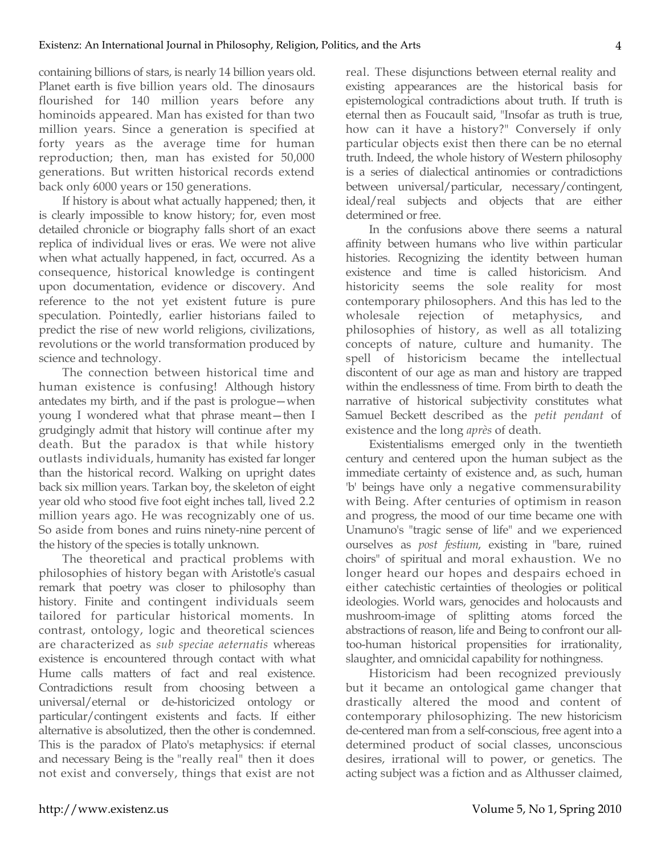containing billions of stars, is nearly 14 billion years old. Planet earth is five billion years old. The dinosaurs flourished for 140 million years before any hominoids appeared. Man has existed for than two million years. Since a generation is specified at forty years as the average time for human reproduction; then, man has existed for 50,000 generations. But written historical records extend back only 6000 years or 150 generations.

If history is about what actually happened; then, it is clearly impossible to know history; for, even most detailed chronicle or biography falls short of an exact replica of individual lives or eras. We were not alive when what actually happened, in fact, occurred. As a consequence, historical knowledge is contingent upon documentation, evidence or discovery. And reference to the not yet existent future is pure speculation. Pointedly, earlier historians failed to predict the rise of new world religions, civilizations, revolutions or the world transformation produced by science and technology.

The connection between historical time and human existence is confusing! Although history antedates my birth, and if the past is prologue—when young I wondered what that phrase meant—then I grudgingly admit that history will continue after my death. But the paradox is that while history outlasts individuals, humanity has existed far longer than the historical record. Walking on upright dates back six million years. Tarkan boy, the skeleton of eight year old who stood five foot eight inches tall, lived 2.2 million years ago. He was recognizably one of us. So aside from bones and ruins ninety-nine percent of the history of the species is totally unknown.

The theoretical and practical problems with philosophies of history began with Aristotle's casual remark that poetry was closer to philosophy than history. Finite and contingent individuals seem tailored for particular historical moments. In contrast, ontology, logic and theoretical sciences are characterized as *sub speciae aeternatis* whereas existence is encountered through contact with what Hume calls matters of fact and real existence. Contradictions result from choosing between a universal/eternal or de-historicized ontology or particular/contingent existents and facts. If either alternative is absolutized, then the other is condemned. This is the paradox of Plato's metaphysics: if eternal and necessary Being is the "really real" then it does not exist and conversely, things that exist are not real. These disjunctions between eternal reality and existing appearances are the historical basis for epistemological contradictions about truth. If truth is eternal then as Foucault said, "Insofar as truth is true, how can it have a history?" Conversely if only particular objects exist then there can be no eternal truth. Indeed, the whole history of Western philosophy is a series of dialectical antinomies or contradictions between universal/particular, necessary/contingent, ideal/real subjects and objects that are either determined or free.

In the confusions above there seems a natural affinity between humans who live within particular histories. Recognizing the identity between human existence and time is called historicism. And historicity seems the sole reality for most contemporary philosophers. And this has led to the wholesale rejection of metaphysics, and philosophies of history, as well as all totalizing concepts of nature, culture and humanity. The spell of historicism became the intellectual discontent of our age as man and history are trapped within the endlessness of time. From birth to death the narrative of historical subjectivity constitutes what Samuel Beckett described as the *petit pendant* of existence and the long *après* of death.

Existentialisms emerged only in the twentieth century and centered upon the human subject as the immediate certainty of existence and, as such, human 'b' beings have only a negative commensurability with Being. After centuries of optimism in reason and progress, the mood of our time became one with Unamuno's "tragic sense of life" and we experienced ourselves as *post festium*, existing in "bare, ruined choirs" of spiritual and moral exhaustion. We no longer heard our hopes and despairs echoed in either catechistic certainties of theologies or political ideologies. World wars, genocides and holocausts and mushroom-image of splitting atoms forced the abstractions of reason, life and Being to confront our alltoo-human historical propensities for irrationality, slaughter, and omnicidal capability for nothingness.

Historicism had been recognized previously but it became an ontological game changer that drastically altered the mood and content of contemporary philosophizing. The new historicism de-centered man from a self-conscious, free agent into a determined product of social classes, unconscious desires, irrational will to power, or genetics. The acting subject was a fiction and as Althusser claimed,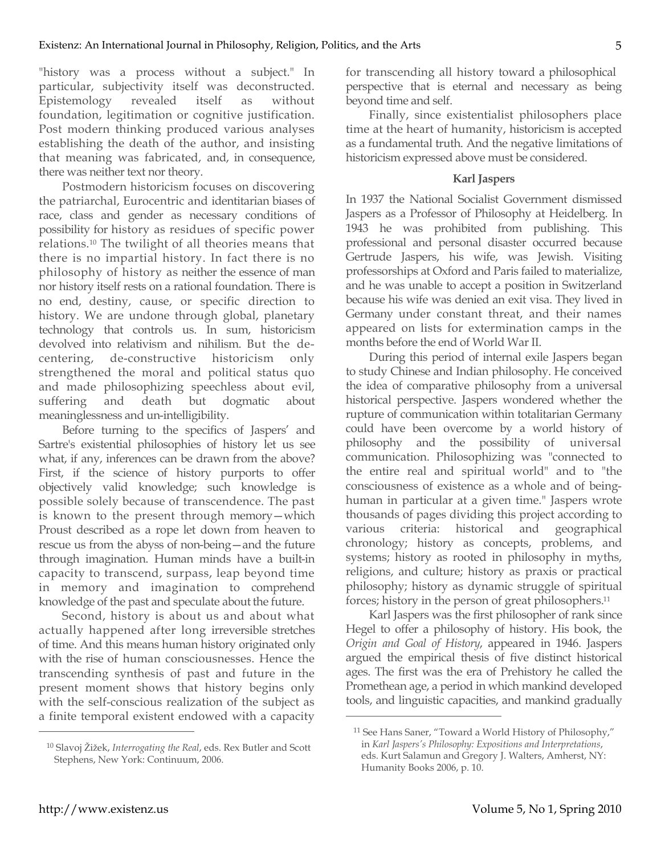"history was a process without a subject." In particular, subjectivity itself was deconstructed. Epistemology revealed itself as without foundation, legitimation or cognitive justification. Post modern thinking produced various analyses establishing the death of the author, and insisting that meaning was fabricated, and, in consequence, there was neither text nor theory.

Postmodern historicism focuses on discovering the patriarchal, Eurocentric and identitarian biases of race, class and gender as necessary conditions of possibility for history as residues of specific power relations.10 The twilight of all theories means that there is no impartial history. In fact there is no philosophy of history as neither the essence of man nor history itself rests on a rational foundation. There is no end, destiny, cause, or specific direction to history. We are undone through global, planetary technology that controls us. In sum, historicism devolved into relativism and nihilism. But the decentering, de-constructive historicism only strengthened the moral and political status quo and made philosophizing speechless about evil, suffering and death but dogmatic about meaninglessness and un-intelligibility.

Before turning to the specifics of Jaspers' and Sartre's existential philosophies of history let us see what, if any, inferences can be drawn from the above? First, if the science of history purports to offer objectively valid knowledge; such knowledge is possible solely because of transcendence. The past is known to the present through memory—which Proust described as a rope let down from heaven to rescue us from the abyss of non-being—and the future through imagination. Human minds have a built-in capacity to transcend, surpass, leap beyond time in memory and imagination to comprehend knowledge of the past and speculate about the future.

Second, history is about us and about what actually happened after long irreversible stretches of time. And this means human history originated only with the rise of human consciousnesses. Hence the transcending synthesis of past and future in the present moment shows that history begins only with the self-conscious realization of the subject as a finite temporal existent endowed with a capacity

<sup>10</sup> Slavoj Žižek, *Interrogating the Real*, eds. Rex Butler and Scott Stephens, New York: Continuum, 2006.

for transcending all history toward a philosophical perspective that is eternal and necessary as being beyond time and self.

Finally, since existentialist philosophers place time at the heart of humanity, historicism is accepted as a fundamental truth. And the negative limitations of historicism expressed above must be considered.

## **Karl Jaspers**

In 1937 the National Socialist Government dismissed Jaspers as a Professor of Philosophy at Heidelberg. In 1943 he was prohibited from publishing. This professional and personal disaster occurred because Gertrude Jaspers, his wife, was Jewish. Visiting professorships at Oxford and Paris failed to materialize, and he was unable to accept a position in Switzerland because his wife was denied an exit visa. They lived in Germany under constant threat, and their names appeared on lists for extermination camps in the months before the end of World War II.

During this period of internal exile Jaspers began to study Chinese and Indian philosophy. He conceived the idea of comparative philosophy from a universal historical perspective. Jaspers wondered whether the rupture of communication within totalitarian Germany could have been overcome by a world history of philosophy and the possibility of universal communication. Philosophizing was "connected to the entire real and spiritual world" and to "the consciousness of existence as a whole and of beinghuman in particular at a given time." Jaspers wrote thousands of pages dividing this project according to various criteria: historical and geographical chronology; history as concepts, problems, and systems; history as rooted in philosophy in myths, religions, and culture; history as praxis or practical philosophy; history as dynamic struggle of spiritual forces; history in the person of great philosophers.11

Karl Jaspers was the first philosopher of rank since Hegel to offer a philosophy of history. His book, the *Origin and Goal of History*, appeared in 1946. Jaspers argued the empirical thesis of five distinct historical ages. The first was the era of Prehistory he called the Promethean age, a period in which mankind developed tools, and linguistic capacities, and mankind gradually

 $\overline{a}$ 

<sup>11</sup> See Hans Saner, "Toward a World History of Philosophy," in *Karl Jaspers's Philosophy: Expositions and Interpretations*, eds. Kurt Salamun and Gregory J. Walters, Amherst, NY: Humanity Books 2006, p. 10.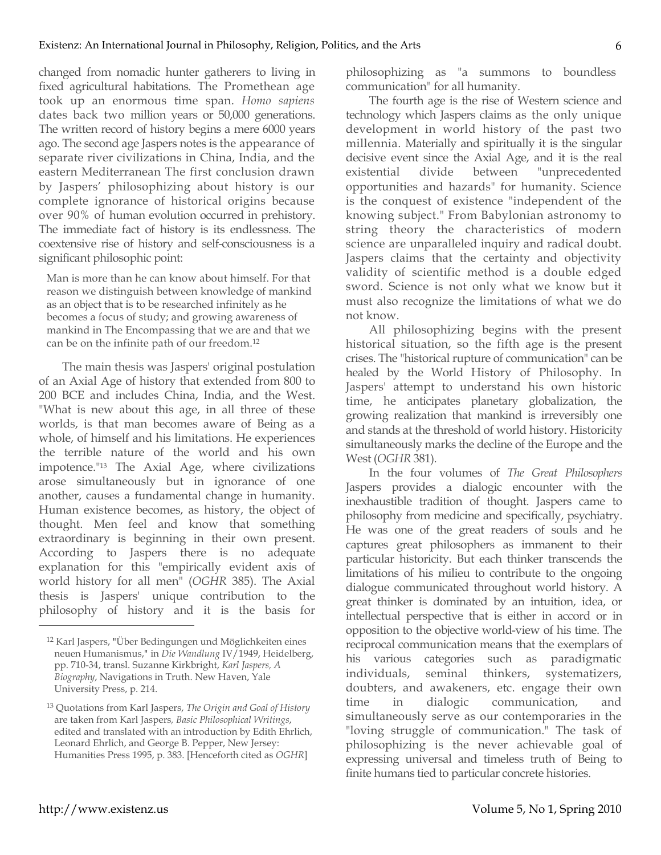changed from nomadic hunter gatherers to living in fixed agricultural habitations. The Promethean age took up an enormous time span. *Homo sapiens* dates back two million years or 50,000 generations. The written record of history begins a mere 6000 years ago. The second age Jaspers notes is the appearance of separate river civilizations in China, India, and the eastern Mediterranean The first conclusion drawn by Jaspers' philosophizing about history is our complete ignorance of historical origins because over 90% of human evolution occurred in prehistory. The immediate fact of history is its endlessness. The coextensive rise of history and self-consciousness is a significant philosophic point:

Man is more than he can know about himself. For that reason we distinguish between knowledge of mankind as an object that is to be researched infinitely as he becomes a focus of study; and growing awareness of mankind in The Encompassing that we are and that we can be on the infinite path of our freedom.12

The main thesis was Jaspers' original postulation of an Axial Age of history that extended from 800 to 200 BCE and includes China, India, and the West. "What is new about this age, in all three of these worlds, is that man becomes aware of Being as a whole, of himself and his limitations. He experiences the terrible nature of the world and his own impotence."13 The Axial Age, where civilizations arose simultaneously but in ignorance of one another, causes a fundamental change in humanity. Human existence becomes, as history, the object of thought. Men feel and know that something extraordinary is beginning in their own present. According to Jaspers there is no adequate explanation for this "empirically evident axis of world history for all men" (*OGHR* 385). The Axial thesis is Jaspers' unique contribution to the philosophy of history and it is the basis for philosophizing as "a summons to boundless communication" for all humanity.

The fourth age is the rise of Western science and technology which Jaspers claims as the only unique development in world history of the past two millennia. Materially and spiritually it is the singular decisive event since the Axial Age, and it is the real existential divide between "unprecedented opportunities and hazards" for humanity. Science is the conquest of existence "independent of the knowing subject." From Babylonian astronomy to string theory the characteristics of modern science are unparalleled inquiry and radical doubt. Jaspers claims that the certainty and objectivity validity of scientific method is a double edged sword. Science is not only what we know but it must also recognize the limitations of what we do not know.

All philosophizing begins with the present historical situation, so the fifth age is the present crises. The "historical rupture of communication" can be healed by the World History of Philosophy. In Jaspers' attempt to understand his own historic time, he anticipates planetary globalization, the growing realization that mankind is irreversibly one and stands at the threshold of world history. Historicity simultaneously marks the decline of the Europe and the West (*OGHR* 381).

In the four volumes of *The Great Philosophers* Jaspers provides a dialogic encounter with the inexhaustible tradition of thought. Jaspers came to philosophy from medicine and specifically, psychiatry. He was one of the great readers of souls and he captures great philosophers as immanent to their particular historicity. But each thinker transcends the limitations of his milieu to contribute to the ongoing dialogue communicated throughout world history. A great thinker is dominated by an intuition, idea, or intellectual perspective that is either in accord or in opposition to the objective world-view of his time. The reciprocal communication means that the exemplars of his various categories such as paradigmatic individuals, seminal thinkers, systematizers, doubters, and awakeners, etc. engage their own time in dialogic communication, and simultaneously serve as our contemporaries in the "loving struggle of communication." The task of philosophizing is the never achievable goal of expressing universal and timeless truth of Being to finite humans tied to particular concrete histories.

<sup>12</sup> Karl Jaspers, "Über Bedingungen und Möglichkeiten eines neuen Humanismus," in *Die Wandlung* IV/1949, Heidelberg, pp. 710-34, transl. Suzanne Kirkbright, *Karl Jaspers, A Biography*, Navigations in Truth. New Haven, Yale University Press, p. 214.

<sup>13</sup> Quotations from Karl Jaspers, *The Origin and Goal of History* are taken from Karl Jaspers*, Basic Philosophical Writings*, edited and translated with an introduction by Edith Ehrlich, Leonard Ehrlich, and George B. Pepper, New Jersey: Humanities Press 1995, p. 383. [Henceforth cited as *OGHR*]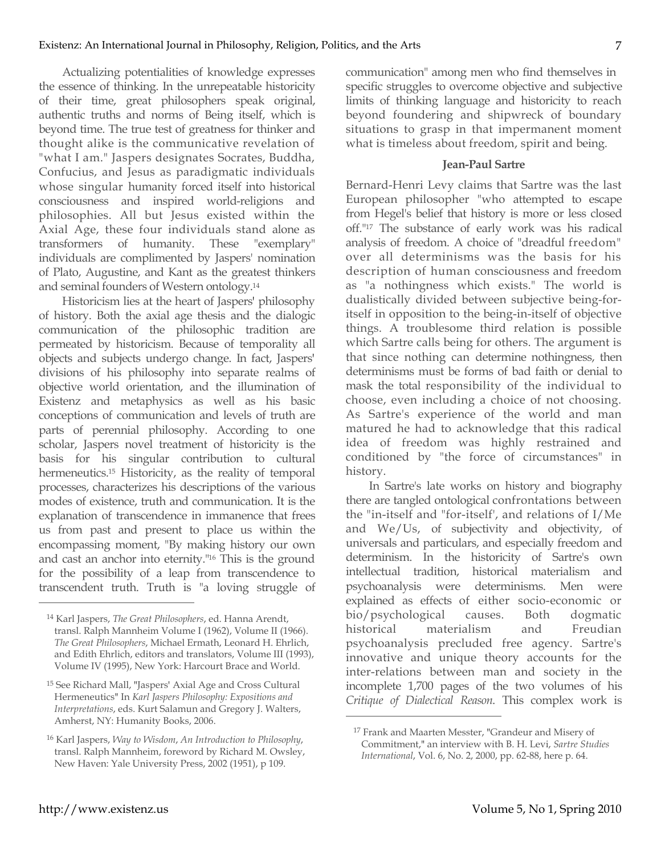Actualizing potentialities of knowledge expresses the essence of thinking. In the unrepeatable historicity of their time, great philosophers speak original, authentic truths and norms of Being itself, which is beyond time. The true test of greatness for thinker and thought alike is the communicative revelation of "what I am." Jaspers designates Socrates, Buddha, Confucius, and Jesus as paradigmatic individuals whose singular humanity forced itself into historical consciousness and inspired world-religions and philosophies. All but Jesus existed within the Axial Age, these four individuals stand alone as transformers of humanity. These "exemplary" individuals are complimented by Jaspers' nomination of Plato, Augustine, and Kant as the greatest thinkers and seminal founders of Western ontology.14

Historicism lies at the heart of Jaspers' philosophy of history. Both the axial age thesis and the dialogic communication of the philosophic tradition are permeated by historicism. Because of temporality all objects and subjects undergo change. In fact, Jaspers' divisions of his philosophy into separate realms of objective world orientation, and the illumination of Existenz and metaphysics as well as his basic conceptions of communication and levels of truth are parts of perennial philosophy. According to one scholar, Jaspers novel treatment of historicity is the basis for his singular contribution to cultural hermeneutics.<sup>15</sup> Historicity, as the reality of temporal processes, characterizes his descriptions of the various modes of existence, truth and communication. It is the explanation of transcendence in immanence that frees us from past and present to place us within the encompassing moment, "By making history our own and cast an anchor into eternity."16 This is the ground for the possibility of a leap from transcendence to transcendent truth. Truth is "a loving struggle of communication" among men who find themselves in specific struggles to overcome objective and subjective limits of thinking language and historicity to reach beyond foundering and shipwreck of boundary situations to grasp in that impermanent moment what is timeless about freedom, spirit and being.

## **Jean-Paul Sartre**

Bernard-Henri Levy claims that Sartre was the last European philosopher "who attempted to escape from Hegel's belief that history is more or less closed off."17 The substance of early work was his radical analysis of freedom. A choice of "dreadful freedom" over all determinisms was the basis for his description of human consciousness and freedom as "a nothingness which exists." The world is dualistically divided between subjective being-foritself in opposition to the being-in-itself of objective things. A troublesome third relation is possible which Sartre calls being for others. The argument is that since nothing can determine nothingness, then determinisms must be forms of bad faith or denial to mask the total responsibility of the individual to choose, even including a choice of not choosing. As Sartre's experience of the world and man matured he had to acknowledge that this radical idea of freedom was highly restrained and conditioned by "the force of circumstances" in history.

In Sartre's late works on history and biography there are tangled ontological confrontations between the "in-itself and "for-itself', and relations of I/Me and We/Us, of subjectivity and objectivity, of universals and particulars, and especially freedom and determinism. In the historicity of Sartre's own intellectual tradition, historical materialism and psychoanalysis were determinisms. Men were explained as effects of either socio-economic or bio/psychological causes. Both dogmatic historical materialism and Freudian psychoanalysis precluded free agency. Sartre's innovative and unique theory accounts for the inter-relations between man and society in the incomplete 1,700 pages of the two volumes of his *Critique of Dialectical Reason*. This complex work is

 $\overline{a}$ 

<sup>14</sup> Karl Jaspers, *The Great Philosophers*, ed. Hanna Arendt, transl. Ralph Mannheim Volume I (1962), Volume II (1966). *The Great Philosophers*, Michael Ermath, Leonard H. Ehrlich, and Edith Ehrlich, editors and translators, Volume III (1993), Volume IV (1995), New York: Harcourt Brace and World.

<sup>15</sup> See Richard Mall, "Jaspers' Axial Age and Cross Cultural Hermeneutics" In *Karl Jaspers Philosophy: Expositions and Interpretations*, eds. Kurt Salamun and Gregory J. Walters, Amherst, NY: Humanity Books, 2006.

<sup>16</sup> Karl Jaspers, *Way to Wisdom*, *An Introduction to Philosophy*, transl. Ralph Mannheim, foreword by Richard M. Owsley, New Haven: Yale University Press, 2002 (1951), p 109.

<sup>17</sup> Frank and Maarten Messter, "Grandeur and Misery of Commitment," an interview with B. H. Levi, *Sartre Studies International*, Vol. 6, No. 2, 2000, pp. 62-88, here p. 64.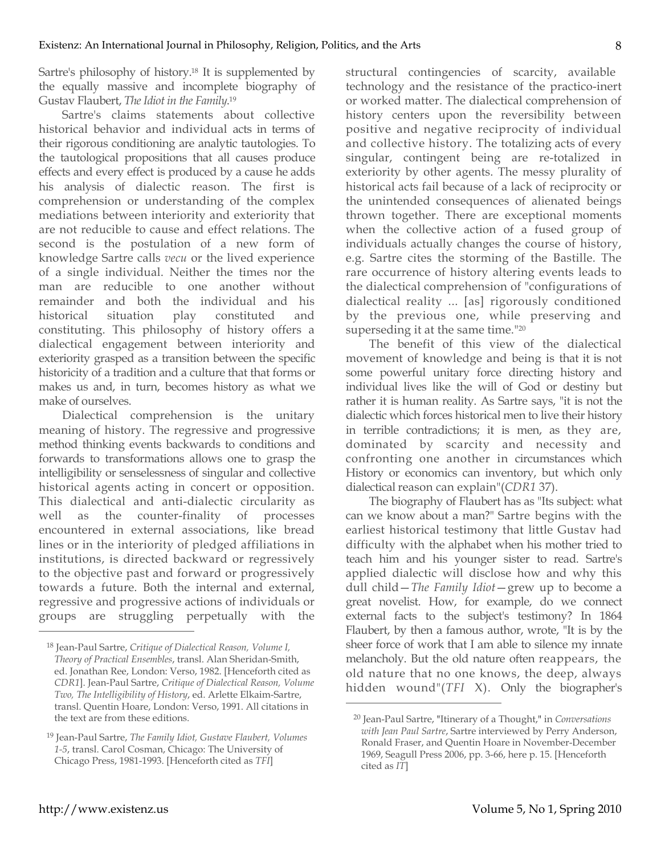Sartre's philosophy of history.18 It is supplemented by the equally massive and incomplete biography of Gustav Flaubert, *The Idiot in the Family*. 19

Sartre's claims statements about collective historical behavior and individual acts in terms of their rigorous conditioning are analytic tautologies. To the tautological propositions that all causes produce effects and every effect is produced by a cause he adds his analysis of dialectic reason. The first is comprehension or understanding of the complex mediations between interiority and exteriority that are not reducible to cause and effect relations. The second is the postulation of a new form of knowledge Sartre calls *vecu* or the lived experience of a single individual. Neither the times nor the man are reducible to one another without remainder and both the individual and his historical situation play constituted and constituting. This philosophy of history offers a dialectical engagement between interiority and exteriority grasped as a transition between the specific historicity of a tradition and a culture that that forms or makes us and, in turn, becomes history as what we make of ourselves.

Dialectical comprehension is the unitary meaning of history. The regressive and progressive method thinking events backwards to conditions and forwards to transformations allows one to grasp the intelligibility or senselessness of singular and collective historical agents acting in concert or opposition. This dialectical and anti-dialectic circularity as well as the counter-finality of processes encountered in external associations, like bread lines or in the interiority of pledged affiliations in institutions, is directed backward or regressively to the objective past and forward or progressively towards a future. Both the internal and external, regressive and progressive actions of individuals or groups are struggling perpetually with the

structural contingencies of scarcity, available technology and the resistance of the practico-inert or worked matter. The dialectical comprehension of history centers upon the reversibility between positive and negative reciprocity of individual and collective history. The totalizing acts of every singular, contingent being are re-totalized in exteriority by other agents. The messy plurality of historical acts fail because of a lack of reciprocity or the unintended consequences of alienated beings thrown together. There are exceptional moments when the collective action of a fused group of individuals actually changes the course of history, e.g. Sartre cites the storming of the Bastille. The rare occurrence of history altering events leads to the dialectical comprehension of "configurations of dialectical reality ... [as] rigorously conditioned by the previous one, while preserving and superseding it at the same time."20

The benefit of this view of the dialectical movement of knowledge and being is that it is not some powerful unitary force directing history and individual lives like the will of God or destiny but rather it is human reality. As Sartre says, "it is not the dialectic which forces historical men to live their history in terrible contradictions; it is men, as they are, dominated by scarcity and necessity and confronting one another in circumstances which History or economics can inventory, but which only dialectical reason can explain"(*CDR1* 37).

The biography of Flaubert has as "Its subject: what can we know about a man?" Sartre begins with the earliest historical testimony that little Gustav had difficulty with the alphabet when his mother tried to teach him and his younger sister to read. Sartre's applied dialectic will disclose how and why this dull child—*The Family Idiot*—grew up to become a great novelist. How, for example, do we connect external facts to the subject's testimony? In 1864 Flaubert, by then a famous author, wrote, "It is by the sheer force of work that I am able to silence my innate melancholy. But the old nature often reappears, the old nature that no one knows, the deep, always hidden wound"(*TFI* X). Only the biographer's

 $\overline{a}$ 

<sup>18</sup> Jean-Paul Sartre, *Critique of Dialectical Reason, Volume I, Theory of Practical Ensembles*, transl. Alan Sheridan-Smith, ed. Jonathan Ree, London: Verso, 1982. [Henceforth cited as *CDR1*]. Jean-Paul Sartre, *Critique of Dialectical Reason, Volume Two, The Intelligibility of History*, ed. Arlette Elkaim-Sartre, transl. Quentin Hoare, London: Verso, 1991. All citations in the text are from these editions.

<sup>19</sup> Jean-Paul Sartre, *The Family Idiot, Gustave Flaubert, Volumes 1-5*, transl. Carol Cosman, Chicago: The University of Chicago Press, 1981-1993. [Henceforth cited as *TFI*]

<sup>20</sup> Jean-Paul Sartre, "Itinerary of a Thought," in *Conversations with Jean Paul Sartre*, Sartre interviewed by Perry Anderson, Ronald Fraser, and Quentin Hoare in November-December 1969, Seagull Press 2006, pp. 3-66, here p. 15. [Henceforth cited as *IT*]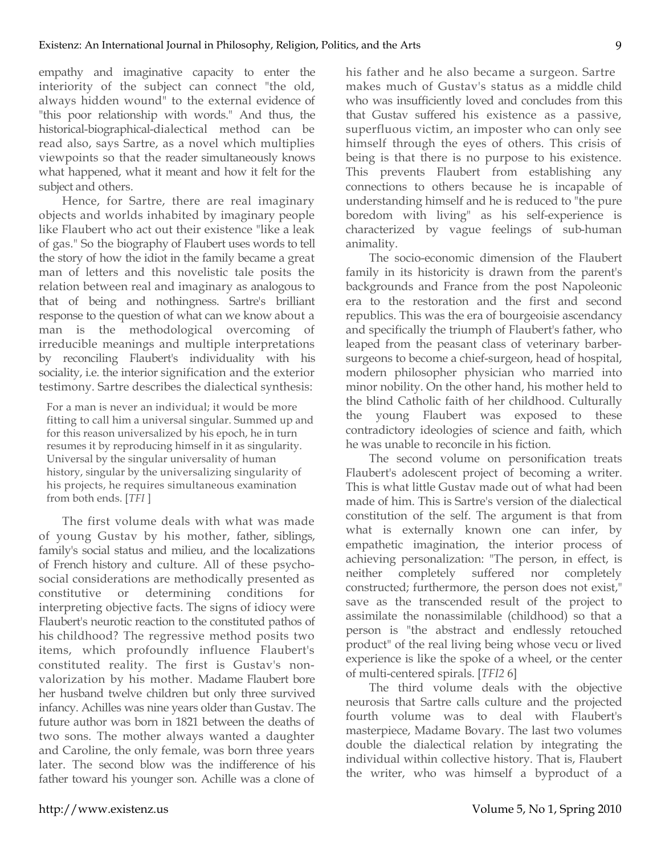empathy and imaginative capacity to enter the interiority of the subject can connect "the old, always hidden wound" to the external evidence of "this poor relationship with words." And thus, the historical-biographical-dialectical method can be read also, says Sartre, as a novel which multiplies viewpoints so that the reader simultaneously knows what happened, what it meant and how it felt for the subject and others.

Hence, for Sartre, there are real imaginary objects and worlds inhabited by imaginary people like Flaubert who act out their existence "like a leak of gas." So the biography of Flaubert uses words to tell the story of how the idiot in the family became a great man of letters and this novelistic tale posits the relation between real and imaginary as analogous to that of being and nothingness. Sartre's brilliant response to the question of what can we know about a man is the methodological overcoming of irreducible meanings and multiple interpretations by reconciling Flaubert's individuality with his sociality, i.e. the interior signification and the exterior testimony. Sartre describes the dialectical synthesis:

For a man is never an individual; it would be more fitting to call him a universal singular. Summed up and for this reason universalized by his epoch, he in turn resumes it by reproducing himself in it as singularity. Universal by the singular universality of human history, singular by the universalizing singularity of his projects, he requires simultaneous examination from both ends. [*TFI* ]

The first volume deals with what was made of young Gustav by his mother, father, siblings, family's social status and milieu, and the localizations of French history and culture. All of these psychosocial considerations are methodically presented as constitutive or determining conditions for interpreting objective facts. The signs of idiocy were Flaubert's neurotic reaction to the constituted pathos of his childhood? The regressive method posits two items, which profoundly influence Flaubert's constituted reality. The first is Gustav's nonvalorization by his mother. Madame Flaubert bore her husband twelve children but only three survived infancy. Achilles was nine years older than Gustav. The future author was born in 1821 between the deaths of two sons. The mother always wanted a daughter and Caroline, the only female, was born three years later. The second blow was the indifference of his father toward his younger son. Achille was a clone of

his father and he also became a surgeon. Sartre makes much of Gustav's status as a middle child who was insufficiently loved and concludes from this that Gustav suffered his existence as a passive, superfluous victim, an imposter who can only see himself through the eyes of others. This crisis of being is that there is no purpose to his existence. This prevents Flaubert from establishing any connections to others because he is incapable of understanding himself and he is reduced to "the pure boredom with living" as his self-experience is characterized by vague feelings of sub-human animality.

The socio-economic dimension of the Flaubert family in its historicity is drawn from the parent's backgrounds and France from the post Napoleonic era to the restoration and the first and second republics. This was the era of bourgeoisie ascendancy and specifically the triumph of Flaubert's father, who leaped from the peasant class of veterinary barbersurgeons to become a chief-surgeon, head of hospital, modern philosopher physician who married into minor nobility. On the other hand, his mother held to the blind Catholic faith of her childhood. Culturally the young Flaubert was exposed to these contradictory ideologies of science and faith, which he was unable to reconcile in his fiction.

The second volume on personification treats Flaubert's adolescent project of becoming a writer. This is what little Gustav made out of what had been made of him. This is Sartre's version of the dialectical constitution of the self. The argument is that from what is externally known one can infer, by empathetic imagination, the interior process of achieving personalization: "The person, in effect, is neither completely suffered nor completely constructed; furthermore, the person does not exist," save as the transcended result of the project to assimilate the nonassimilable (childhood) so that a person is "the abstract and endlessly retouched product" of the real living being whose vecu or lived experience is like the spoke of a wheel, or the center of multi-centered spirals. [*TFI2* 6]

The third volume deals with the objective neurosis that Sartre calls culture and the projected fourth volume was to deal with Flaubert's masterpiece, Madame Bovary. The last two volumes double the dialectical relation by integrating the individual within collective history. That is, Flaubert the writer, who was himself a byproduct of a